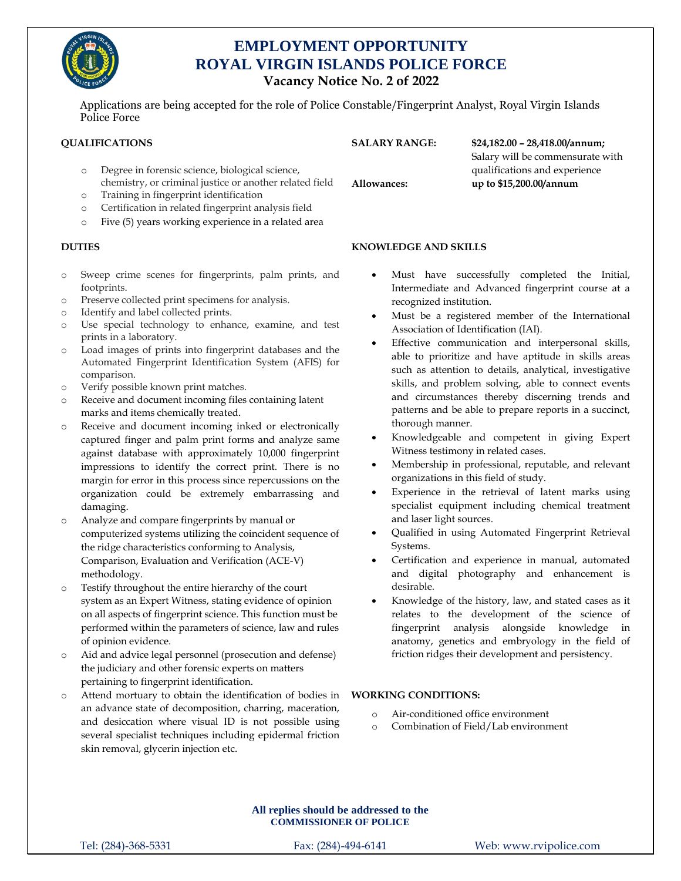

# **EMPLOYMENT OPPORTUNITY ROYAL VIRGIN ISLANDS POLICE FORCE Vacancy Notice No. 2 of 2022**

Applications are being accepted for the role of Police Constable/Fingerprint Analyst, Royal Virgin Islands Police Force

### **QUALIFICATIONS**

- o Degree in forensic science, biological science, chemistry, or criminal justice or another related field
- o Training in fingerprint identification
- o Certification in related fingerprint analysis field
- o Five (5) years working experience in a related area

### **DUTIES**

- o Sweep crime scenes for fingerprints, palm prints, and footprints.
- o Preserve collected print specimens for analysis.
- o Identify and label collected prints.
- o Use special technology to enhance, examine, and test prints in a laboratory.
- o Load images of prints into fingerprint databases and the Automated Fingerprint Identification System (AFIS) for comparison.
- o Verify possible known print matches.
- o Receive and document incoming files containing latent marks and items chemically treated.
- o Receive and document incoming inked or electronically captured finger and palm print forms and analyze same against database with approximately 10,000 fingerprint impressions to identify the correct print. There is no margin for error in this process since repercussions on the organization could be extremely embarrassing and damaging.
- o Analyze and compare fingerprints by manual or computerized systems utilizing the coincident sequence of the ridge characteristics conforming to Analysis, Comparison, Evaluation and Verification (ACE-V) methodology.
- o Testify throughout the entire hierarchy of the court system as an Expert Witness, stating evidence of opinion on all aspects of fingerprint science. This function must be performed within the parameters of science, law and rules of opinion evidence.
- o Aid and advice legal personnel (prosecution and defense) the judiciary and other forensic experts on matters pertaining to fingerprint identification.
- Attend mortuary to obtain the identification of bodies in an advance state of decomposition, charring, maceration, and desiccation where visual ID is not possible using several specialist techniques including epidermal friction skin removal, glycerin injection etc.

## **SALARY RANGE: \$24,182.00 – 28,418.00/annum;**

Salary will be commensurate with qualifications and experience **Allowances: up to \$15,200.00/annum**

### **KNOWLEDGE AND SKILLS**

- Must have successfully completed the Initial, Intermediate and Advanced fingerprint course at a recognized institution.
- Must be a registered member of the International Association of Identification (IAI).
- Effective communication and interpersonal skills, able to prioritize and have aptitude in skills areas such as attention to details, analytical, investigative skills, and problem solving, able to connect events and circumstances thereby discerning trends and patterns and be able to prepare reports in a succinct, thorough manner.
- Knowledgeable and competent in giving Expert Witness testimony in related cases.
- Membership in professional, reputable, and relevant organizations in this field of study.
- Experience in the retrieval of latent marks using specialist equipment including chemical treatment and laser light sources.
- Qualified in using Automated Fingerprint Retrieval Systems.
- Certification and experience in manual, automated and digital photography and enhancement is desirable.
- Knowledge of the history, law, and stated cases as it relates to the development of the science of fingerprint analysis alongside knowledge in anatomy, genetics and embryology in the field of friction ridges their development and persistency.

### **WORKING CONDITIONS:**

- o Air-conditioned office environment
- o Combination of Field/Lab environment

**All replies should be addressed to the COMMISSIONER OF POLICE**